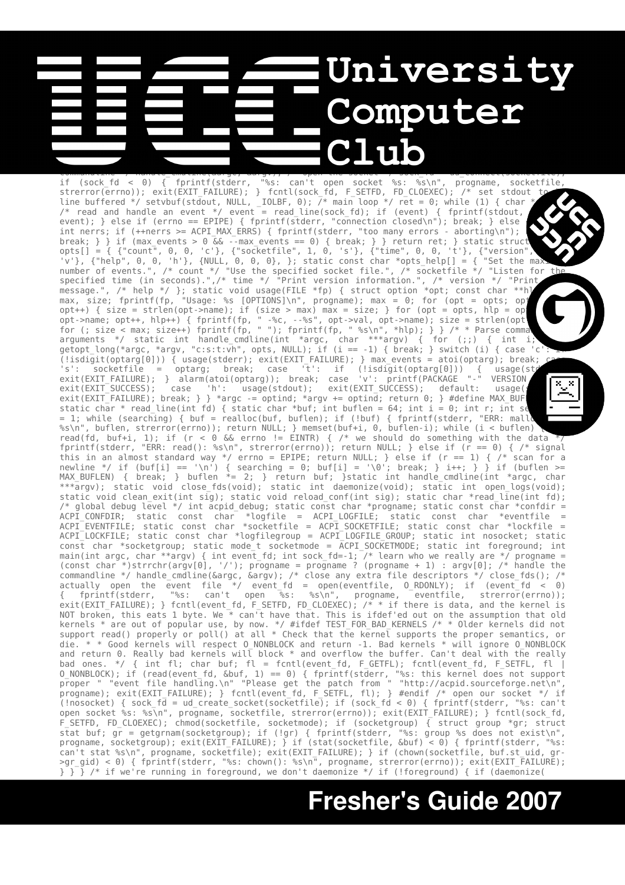## **University Computer** char \*progname; static const char \*socketfile = ACPI\_SOCKETFILE; static int max\_e**v**ents; stat**i**c void  $\bullet$  into signum  $\bullet$  into the main (intervalsum)  $\bullet$  into a radius  $\bullet$ ret; /\* handle an alarm \*/ signal(SIGALRM, time\_expired); /\* learn who we really are \*/ progname =  $\sim$  strategies arguments  $\sim$  1)  $\sim$  10  $\sim$  10  $\sim$  10  $\sim$  10  $\sim$  10  $\sim$  10  $\sim$  10  $\sim$  10  $\sim$  10  $\sim$  10  $\sim$  10  $\sim$  10  $\sim$  10  $\sim$  10  $\sim$  10  $\sim$  10  $\sim$  10  $\sim$  10  $\sim$  10  $\sim$  10  $\sim$  10  $\sim$  10  $\sim$  10  $\sim$ commandline \*/ handle\_cmdline(&argc, &argv); /\* open the socket \*/ sock\_fd = ud\_connect(socketfile);

if (sock\_fd < 0) { fprintf(stderr, "%s: can't open socket %s: %s\n", progname, socketfile, strerror(errno)); exit(EXIT\_FAILURE); } fcntl(sock\_fd, F\_SETFD, FD\_CLOEXEC); /\* set stdout line buffered \*/ setvbuf(stdout, NULL, \_IOLBF, 0); /\* main loop \*/ ret = 0; while (1) { char \* /\* read and handle an event \*/ event = read\_line(sock\_fd); if (event) { fprintf(stdout,  $\blacksquare$ event); } else if (errno == EPIPE) { fprintf(stderr, "connection closed\n"); break; } else int nerrs; if (++nerrs >= ACPI\_MAX\_ERRS) { fprintf(stderr, "too many errors - aborting\n"); break; } } if (max\_events > 0 && --max\_events == 0) { break; } } return ret; } static struct opts[] = { {"count", 0, 0, 'c'}, {"socketfile", 1, 0, 's'}, {"time", 0, 0, 't'}, {"version", 0, 0, 'v'}, {"help", 0, 0, 'h'}, {NULL, 0, 0, 0}, }; static const char \*opts\_help[] = { "Set the maximum number of events.", /\* count \*/ "Use the specified socket file.", /\* socketfile \*/ "Listen for the specified time (in seconds).",/\* time \*/ "Print version information.", /\* version \*/ "Print message.", /\* help \*/ }; static void usage(FILE \*fp) { struct option \*opt; const char \*\*h] max, size; fprintf(fp, "Usage: %s [OPTIONS]\n", progname); max = 0; for (opt = opts; opt $\blacktriangleright$ opt++) { size = strlen(opt->name); if (size > max) max = size; } for (opt = opts, hlp = op opt->name; opt++, hlp++) { fprintf(fp, " -%c, --%s", opt->val, opt->name); size = strlen(opt->name); for (; size < max; size++) fprintf(fp, " "); fprintf(fp, " %s\n", \*hlp); } } /\* \* Parse comma arguments \*/ static int handle cmdline(int \*argc, char \*\*\*argv) { for (;;) { int i; getopt\_long(\*argc, \*argv, "c:s:t:vh", opts, NULL); if (i == -1) { break; } switch (i) { case 'c': <del>i</del> (!isdigit(optarg[0])) { usage(stderr); exit(EXIT\_FAILURE); } max\_events = atoi(optarg); break; case 's': socketfile = optarg; break; case 't': if (!isdigit(optarg[0])) { usage(std exit(EXIT\_FAILURE); } alarm(atoi(optarg)); break; case 'v': printf(PACKAGE "-" VERSION "\r exit(EXIT\_SUCCESS); case 'h': usage(stdout); exit(EXIT\_SUCCESS); default: usage(st exit(EXIT\_FAILURE); break; } } \*argc -= optind; \*argv += optind; return 0; } #define MAX\_BUF static char \* read\_line(int fd) { static char \*buf; int buflen = 64; int i = 0; int r; int set = 1; while (searching) { buf = realloc(buf, buflen); if (!buf) { fprintf(stderr, "ERR: mall %s\n", buflen, strerror(errno)); return NULL; } memset(buf+i, 0, buflen-i); while (i < buflen) { r = read(fd, buf+i, 1); if (r < 0 && errno != EINTR) { /\* we should do something with the data  $\overline{^{*7}}$ fprintf(stderr, "ERR: read(): %s\n", strerror(errno)); return NULL; } else if (r == 0) { /\* signal this in an almost standard way \*/ errno = EPIPE; return NULL; } else if (r == 1) { /\* scan for a newline \*/ if (buf[i] == '\n') { searching = 0; buf[i] = '\0'; break; } i++; } } if (buflen >= MAX\_BUFLEN) { break; } buflen \*= 2; } return buf; }static int handle\_cmdline(int \*argc, char \*\*\*argv); static void close\_fds(void); static int daemonize(void); static int open\_logs(void); static void clean\_exit(int sig); static void reload\_conf(int sig); static char \*read\_line(int fd); /\* global debug level \*/ int acpid\_debug; static const char \*progname; static const char \*confdir =  $*$ logfile = ACPI\_LOGFILE; static const char  $*$ eventfile = ACPI\_EVENTFILE; static const char \*socketfile = ACPI\_SOCKETFILE; static const char \*lockfile = ACPI\_LOCKFILE; static const char \*logfilegroup = ACPI\_LOGFILE\_GROUP; static int nosocket; static const char \*socketgroup; static mode\_t socketmode = ACPI\_SOCKETMODE; static int foreground; int main(int argc, char \*\*argv) { int event fd; int sock fd=-1;  $\bar{}/\,$ \* learn who we really are \*/ progname = (const char \*)strrchr(argv[0], '/'); progname = progname ? (progname + 1) : argv[0]; /\* handle the commandline \*/ handle\_cmdline(&argc, &argv); /\* close any extra file descriptors \*/ close\_fds(); /\* actually open the event file \*/ event\_fd = open(eventfile, O\_RDONLY); if (event\_fd < 0) { fprintf(stderr, "%s: can't open %s: %s\n", progname, eventfile, strerror(errno)); exit(EXIT\_FAILURE); } fcntl(event\_fd, F\_SETFD, FD\_CLOEXEC); /\* \* if there is data, and the kernel is NOT broken, this eats 1 byte. We \* can't have that. This is ifdef'ed out on the assumption that old kernels \* are out of popular use, by now. \*/ #ifdef TEST\_FOR\_BAD\_KERNELS /\* \* Older kernels did not support read() properly or poll() at all \* Check that the kernel supports the proper semantics, or die. \* \* Good kernels will respect O\_NONBLOCK and return -1. Bad kernels \* will ignore O\_NONBLOCK and return 0. Really bad kernels will block \* and overflow the buffer. Can't deal with the really bad ones. \*/ { int fl; char buf; fl = fcntl(event fd, F GETFL); fcntl(event fd, F SETFL, fl | O\_NONBLOCK); if (read(event\_fd, &buf, 1) == 0) { fprintf(stderr, "%s: this kernel does not support proper " "event file handling.\n" "Please get the patch from " "http://acpid.sourceforge.net\n", progname); exit(EXIT\_FAILURE); } fcntl(event\_fd, F\_SETFL, fl); } #endif /\* open our socket \*/ if (!nosocket) { sock\_fd = ud\_create\_socket(socketfile); if (sock\_fd < 0) { fprintf(stderr, "%s: can't open socket %s: %s\n", progname, socketfile, strerror(errno)); exit(EXIT\_FAILURE); } fcntl(sock\_fd, F\_SETFD, FD\_CLOEXEC); chmod(socketfile, socketmode); if (socketgroup) { struct group \*gr; struct stat buf; gr = getgrnam(socketgroup); if (!gr) { fprintf(stderr, "%s: group %s does not exist\n", progname, socketgroup); exit(EXIT\_FAILURE); } if (stat(socketfile, &buf) < 0) { fprintf(stderr, "%s: can't stat %s\n", progname, socketfile); exit(EXIT\_FAILURE); } if (chown(socketfile, buf.st\_uid, gr- >gr\_gid) < 0) { fprintf(stderr, "%s: chown(): %s\n", progname, strerror(errno)); exit(EXIT\_FAILURE); } } } /\* if we're running in foreground, we don't daemonize \*/ if (!foreground) { if (daemonize(

# **Fresher's Guide 2007**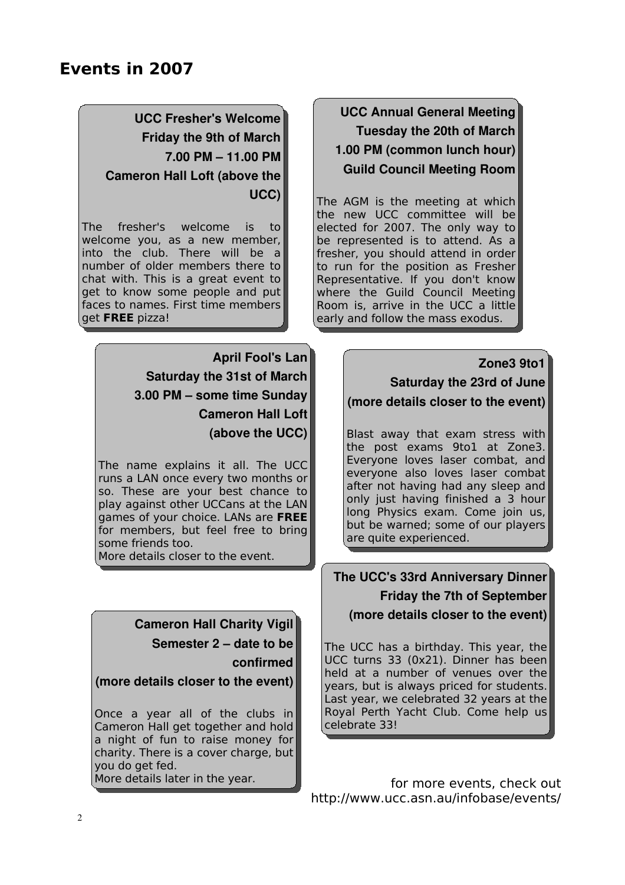## **UCC Fresher's Welcome Friday the 9th of March 7.00 PM – 11.00 PM Cameron Hall Loft (above the UCC)**

The fresher's welcome is to welcome you, as a new member, into the club. There will be a number of older members there to chat with. This is a great event to get to know some people and put faces to names. First time members get **FREE** pizza!

> **April Fool's Lan Saturday the 31st of March 3.00 PM – some time Sunday Cameron Hall Loft (above the UCC)**

The name explains it all. The UCC runs a LAN once every two months or so. These are your best chance to play against other UCCans at the LAN games of your choice. LANs are **FREE** for members, but feel free to bring some friends too.

More details closer to the event.

## **Cameron Hall Charity Vigil**

**Semester 2 – date to be confirmed**

#### **(more details closer to the event)**

Once a year all of the clubs in Cameron Hall get together and hold a night of fun to raise money for charity. There is a cover charge, but you do get fed. More details later in the year.

## **UCC Annual General Meeting Tuesday the 20th of March 1.00 PM (common lunch hour) Guild Council Meeting Room**

The AGM is the meeting at which the new UCC committee will be elected for 2007. The only way to be represented is to attend. As a fresher, you should attend in order to run for the position as Fresher Representative. If you don't know where the Guild Council Meeting Room is, arrive in the UCC a little early and follow the mass exodus.

#### **Zone3 9to1**

**Saturday the 23rd of June (more details closer to the event)**

Blast away that exam stress with the post exams 9to1 at Zone3. Everyone loves laser combat, and everyone also loves laser combat after not having had any sleep and only just having finished a 3 hour long Physics exam. Come join us, but be warned; some of our players are quite experienced.

### **The UCC's 33rd Anniversary Dinner Friday the 7th of September (more details closer to the event)**

The UCC has a birthday. This year, the UCC turns 33 (0x21). Dinner has been held at a number of venues over the years, but is always priced for students. Last year, we celebrated 32 years at the Royal Perth Yacht Club. Come help us celebrate 33!

for more events, check out http://www.ucc.asn.au/infobase/events/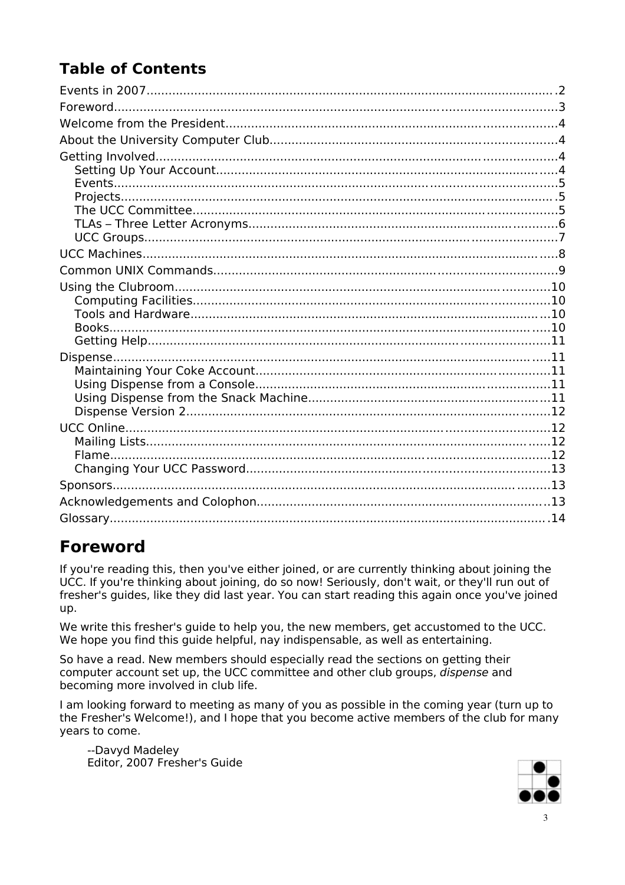# **Table of Contents**

## **Foreword**

If you're reading this, then you've either joined, or are currently thinking about joining the UCC. If you're thinking about joining, do so now! Seriously, don't wait, or they'll run out of fresher's guides, like they did last year. You can start reading this again once you've joined up.

We write this fresher's quide to help you, the new members, get accustomed to the UCC. We hope you find this quide helpful, nay indispensable, as well as entertaining.

So have a read. New members should especially read the sections on getting their computer account set up, the UCC committee and other club groups, dispense and becoming more involved in club life.

I am looking forward to meeting as many of you as possible in the coming year (turn up to the Fresher's Welcome!), and I hope that you become active members of the club for many vears to come.

--Davyd Madeley Editor, 2007 Fresher's Guide

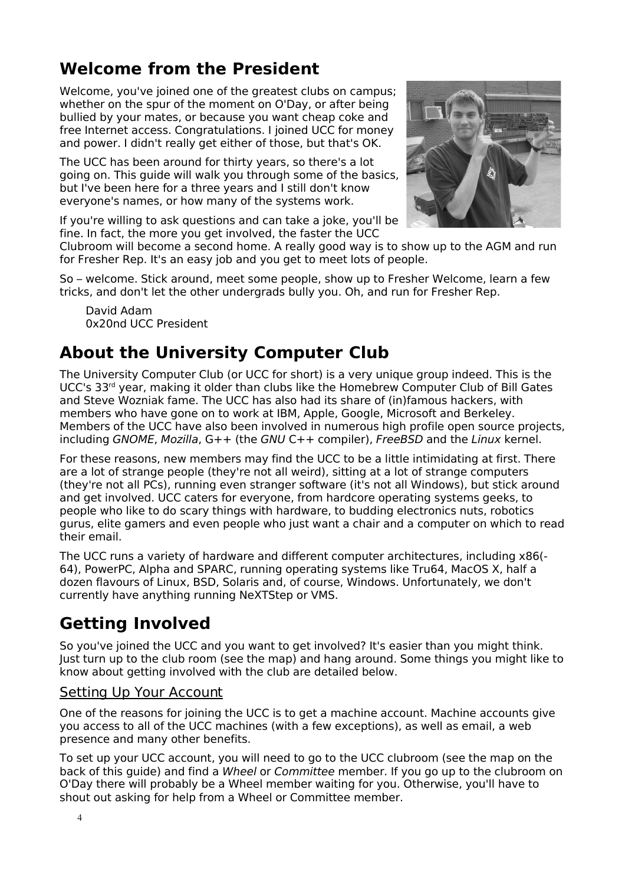## **Welcome from the President**

Welcome, you've joined one of the greatest clubs on campus; whether on the spur of the moment on O'Day, or after being bullied by your mates, or because you want cheap coke and free Internet access. Congratulations. I joined UCC for money and power. I didn't really get either of those, but that's OK.

The UCC has been around for thirty years, so there's a lot going on. This guide will walk you through some of the basics, but I've been here for a three years and I still don't know everyone's names, or how many of the systems work.

If you're willing to ask questions and can take a joke, you'll be fine. In fact, the more you get involved, the faster the UCC



Clubroom will become a second home. A really good way is to show up to the AGM and run for Fresher Rep. It's an easy job and you get to meet lots of people.

So – welcome. Stick around, meet some people, show up to Fresher Welcome, learn a few tricks, and don't let the other undergrads bully you. Oh, and run for Fresher Rep.

David Adam 0x20nd UCC President

## **About the University Computer Club**

The University Computer Club (or UCC for short) is a very unique group indeed. This is the UCC's 33<sup>rd</sup> year, making it older than clubs like the Homebrew Computer Club of Bill Gates and Steve Wozniak fame. The UCC has also had its share of (in)famous hackers, with members who have gone on to work at IBM, Apple, Google, Microsoft and Berkeley. Members of the UCC have also been involved in numerous high profile open source projects, including GNOME, Mozilla,  $G++$  (the GNU  $C++$  compiler), FreeBSD and the Linux kernel.

For these reasons, new members may find the UCC to be a little intimidating at first. There are a lot of strange people (they're not all weird), sitting at a lot of strange computers (they're not all PCs), running even stranger software (it's not all Windows), but stick around and get involved. UCC caters for everyone, from hardcore operating systems geeks, to people who like to do scary things with hardware, to budding electronics nuts, robotics gurus, elite gamers and even people who just want a chair and a computer on which to read their email.

The UCC runs a variety of hardware and different computer architectures, including x86(- 64), PowerPC, Alpha and SPARC, running operating systems like Tru64, MacOS X, half a dozen flavours of Linux, BSD, Solaris and, of course, Windows. Unfortunately, we don't currently have anything running NeXTStep or VMS.

# **Getting Involved**

So you've joined the UCC and you want to get involved? It's easier than you might think. Just turn up to the club room (see the map) and hang around. Some things you might like to know about getting involved with the club are detailed below.

#### Setting Up Your Account

One of the reasons for joining the UCC is to get a machine account. Machine accounts give you access to all of the UCC machines (with a few exceptions), as well as email, a web presence and many other benefits.

To set up your UCC account, you will need to go to the UCC clubroom (see the map on the back of this guide) and find a Wheel or Committee member. If you go up to the clubroom on O'Day there will probably be a Wheel member waiting for you. Otherwise, you'll have to shout out asking for help from a Wheel or Committee member.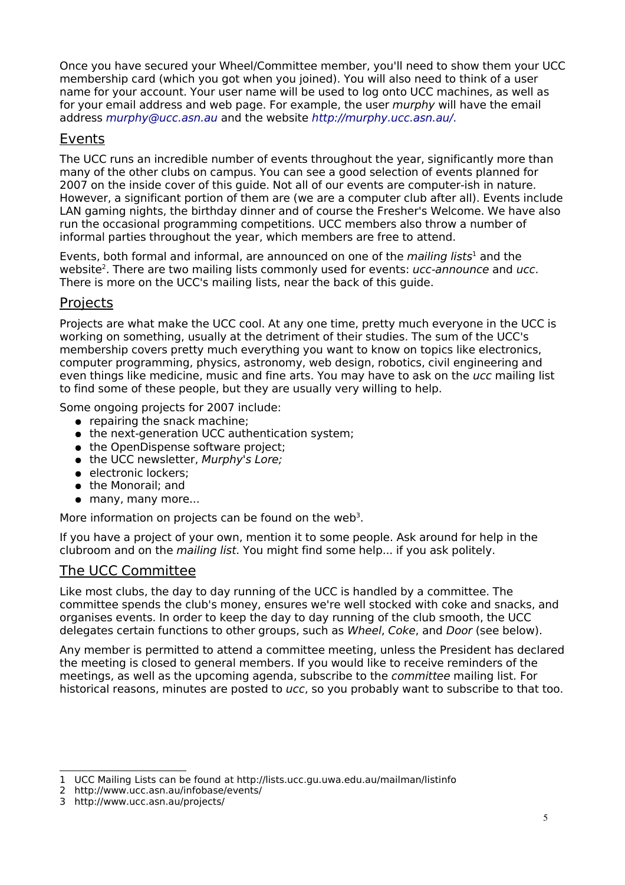Once you have secured your Wheel/Committee member, you'll need to show them your UCC membership card (which you got when you joined). You will also need to think of a user name for your account. Your user name will be used to log onto UCC machines, as well as for your email address and web page. For example, the user *murphy* will have the email address [murphy@ucc.asn.au](mailto:murphy@ucc.asn.au) and the website <http://murphy.ucc.asn.au/>.

### Events

The UCC runs an incredible number of events throughout the year, significantly more than many of the other clubs on campus. You can see a good selection of events planned for 2007 on the inside cover of this guide. Not all of our events are computer-ish in nature. However, a significant portion of them are (we are a computer club after all). Events include LAN gaming nights, the birthday dinner and of course the Fresher's Welcome. We have also run the occasional programming competitions. UCC members also throw a number of informal parties throughout the year, which members are free to attend.

Events, both formal and informal, are announced on one of the *mailing lists*<sup>[1](#page-4-0)</sup> and the website<sup>[2](#page-4-1)</sup>. There are two mailing lists commonly used for events: *ucc-announce* and *ucc*. There is more on the UCC's mailing lists, near the back of this guide.

#### **Projects**

Projects are what make the UCC cool. At any one time, pretty much everyone in the UCC is working on something, usually at the detriment of their studies. The sum of the UCC's membership covers pretty much everything you want to know on topics like electronics, computer programming, physics, astronomy, web design, robotics, civil engineering and even things like medicine, music and fine arts. You may have to ask on the ucc mailing list to find some of these people, but they are usually very willing to help.

Some ongoing projects for 2007 include:

- repairing the snack machine;
- the next-generation UCC authentication system;
- the OpenDispense software project;
- the UCC newsletter, Murphy's Lore;
- electronic lockers;
- the Monorail; and
- many, many more...

More information on projects can be found on the web<sup>[3](#page-4-2)</sup>.

If you have a project of your own, mention it to some people. Ask around for help in the clubroom and on the mailing list. You might find some help... if you ask politely.

#### The UCC Committee

Like most clubs, the day to day running of the UCC is handled by a committee. The committee spends the club's money, ensures we're well stocked with coke and snacks, and organises events. In order to keep the day to day running of the club smooth, the UCC delegates certain functions to other groups, such as Wheel, Coke, and Door (see below).

Any member is permitted to attend a committee meeting, unless the President has declared the meeting is closed to general members. If you would like to receive reminders of the meetings, as well as the upcoming agenda, subscribe to the committee mailing list. For historical reasons, minutes are posted to ucc, so you probably want to subscribe to that too.

<span id="page-4-0"></span><sup>1</sup> UCC Mailing Lists can be found at http://lists.ucc.gu.uwa.edu.au/mailman/listinfo

<span id="page-4-1"></span><sup>2</sup> http://www.ucc.asn.au/infobase/events/

<span id="page-4-2"></span><sup>3</sup> http://www.ucc.asn.au/projects/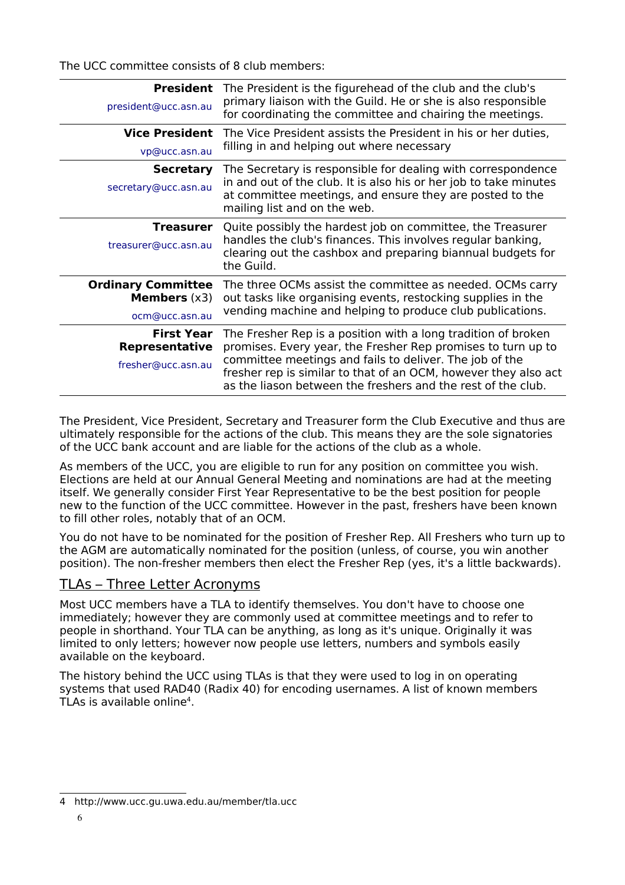The UCC committee consists of 8 club members:

| <b>President</b><br>president@ucc.asn.au                             | The President is the figurehead of the club and the club's<br>primary liaison with the Guild. He or she is also responsible<br>for coordinating the committee and chairing the meetings.                                                                                                                                    |
|----------------------------------------------------------------------|-----------------------------------------------------------------------------------------------------------------------------------------------------------------------------------------------------------------------------------------------------------------------------------------------------------------------------|
| <b>Vice President</b><br>vp@ucc.asn.au                               | The Vice President assists the President in his or her duties,<br>filling in and helping out where necessary                                                                                                                                                                                                                |
| <b>Secretary</b><br>secretary@ucc.asn.au                             | The Secretary is responsible for dealing with correspondence<br>in and out of the club. It is also his or her job to take minutes<br>at committee meetings, and ensure they are posted to the<br>mailing list and on the web.                                                                                               |
| Treasurer<br>treasurer@ucc.asn.au                                    | Quite possibly the hardest job on committee, the Treasurer<br>handles the club's finances. This involves regular banking,<br>clearing out the cashbox and preparing biannual budgets for<br>the Guild.                                                                                                                      |
| <b>Ordinary Committee</b><br><b>Members</b> $(x3)$<br>ocm@ucc.asn.au | The three OCMs assist the committee as needed. OCMs carry<br>out tasks like organising events, restocking supplies in the<br>vending machine and helping to produce club publications.                                                                                                                                      |
| <b>First Year</b><br><b>Representative</b><br>fresher@ucc.asn.au     | The Fresher Rep is a position with a long tradition of broken<br>promises. Every year, the Fresher Rep promises to turn up to<br>committee meetings and fails to deliver. The job of the<br>fresher rep is similar to that of an OCM, however they also act<br>as the liason between the freshers and the rest of the club. |

The President, Vice President, Secretary and Treasurer form the Club Executive and thus are ultimately responsible for the actions of the club. This means they are the sole signatories of the UCC bank account and are liable for the actions of the club as a whole.

As members of the UCC, you are eligible to run for any position on committee you wish. Elections are held at our Annual General Meeting and nominations are had at the meeting itself. We generally consider First Year Representative to be the best position for people new to the function of the UCC committee. However in the past, freshers have been known to fill other roles, notably that of an OCM.

You do not have to be nominated for the position of Fresher Rep. All Freshers who turn up to the AGM are automatically nominated for the position (unless, of course, you win another position). The non-fresher members then elect the Fresher Rep (yes, it's a little backwards).

### TLAs – Three Letter Acronyms

Most UCC members have a TLA to identify themselves. You don't have to choose one immediately; however they are commonly used at committee meetings and to refer to people in shorthand. Your TLA can be anything, as long as it's unique. Originally it was limited to only letters; however now people use letters, numbers and symbols easily available on the keyboard.

The history behind the UCC using TLAs is that they were used to log in on operating systems that used RAD40 (Radix 40) for encoding usernames. A list of known members TLAs is available online[4](#page-5-0) .

<span id="page-5-0"></span><sup>4</sup> http://www.ucc.gu.uwa.edu.au/member/tla.ucc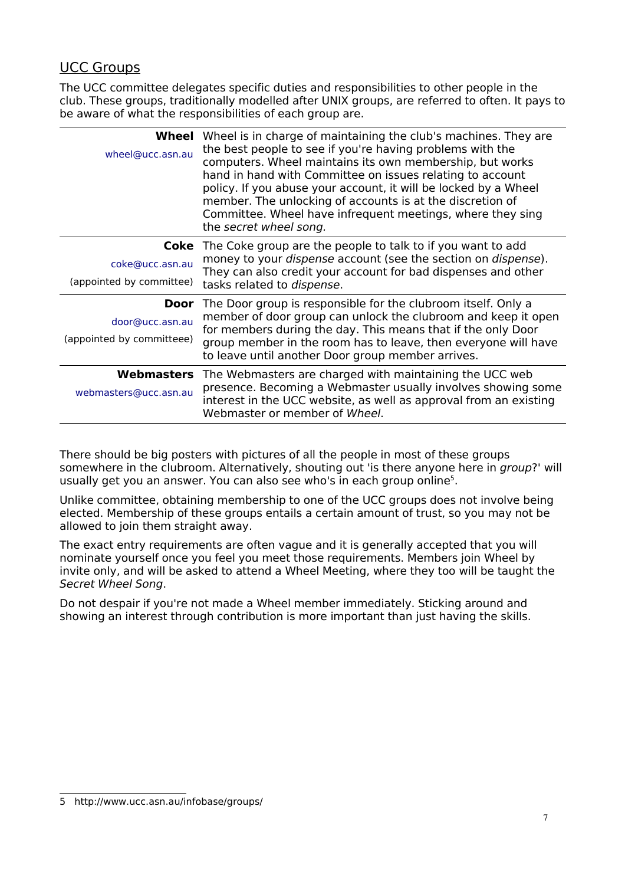### UCC Groups

The UCC committee delegates specific duties and responsibilities to other people in the club. These groups, traditionally modelled after UNIX groups, are referred to often. It pays to be aware of what the responsibilities of each group are.

| Wheel<br>wheel@ucc.asn.au                    | Wheel is in charge of maintaining the club's machines. They are<br>the best people to see if you're having problems with the<br>computers. Wheel maintains its own membership, but works<br>hand in hand with Committee on issues relating to account<br>policy. If you abuse your account, it will be locked by a Wheel<br>member. The unlocking of accounts is at the discretion of<br>Committee. Wheel have infrequent meetings, where they sing<br>the secret wheel song. |
|----------------------------------------------|-------------------------------------------------------------------------------------------------------------------------------------------------------------------------------------------------------------------------------------------------------------------------------------------------------------------------------------------------------------------------------------------------------------------------------------------------------------------------------|
| coke@ucc.asn.au<br>(appointed by committee)  | <b>Coke</b> The Coke group are the people to talk to if you want to add<br>money to your <i>dispense</i> account (see the section on <i>dispense</i> ).<br>They can also credit your account for bad dispenses and other<br>tasks related to <i>dispense</i> .                                                                                                                                                                                                                |
| door@ucc.asn.au<br>(appointed by committeee) | <b>Door</b> The Door group is responsible for the clubroom itself. Only a<br>member of door group can unlock the clubroom and keep it open<br>for members during the day. This means that if the only Door<br>group member in the room has to leave, then everyone will have<br>to leave until another Door group member arrives.                                                                                                                                             |
| <b>Webmasters</b><br>webmasters@ucc.asn.au   | The Webmasters are charged with maintaining the UCC web<br>presence. Becoming a Webmaster usually involves showing some<br>interest in the UCC website, as well as approval from an existing<br>Webmaster or member of Wheel.                                                                                                                                                                                                                                                 |

There should be big posters with pictures of all the people in most of these groups somewhere in the clubroom. Alternatively, shouting out 'is there anyone here in group?' will usually get you an answer. You can also see who's in each group online<sup>[5](#page-6-0)</sup>.

Unlike committee, obtaining membership to one of the UCC groups does not involve being elected. Membership of these groups entails a certain amount of trust, so you may not be allowed to join them straight away.

The exact entry requirements are often vague and it is generally accepted that you will nominate yourself once you feel you meet those requirements. Members join Wheel by invite only, and will be asked to attend a Wheel Meeting, where they too will be taught the Secret Wheel Song.

Do not despair if you're not made a Wheel member immediately. Sticking around and showing an interest through contribution is more important than just having the skills.

<span id="page-6-0"></span><sup>5</sup> http://www.ucc.asn.au/infobase/groups/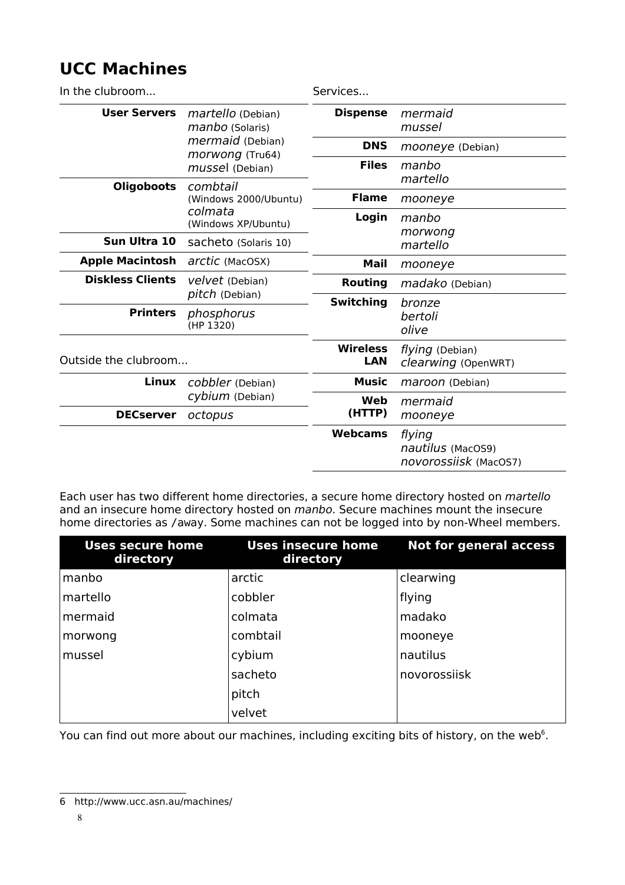## **UCC Machines**

| In the clubroom         |                                                                                                       | Services               |                                                      |
|-------------------------|-------------------------------------------------------------------------------------------------------|------------------------|------------------------------------------------------|
| <b>User Servers</b>     | <i>martello</i> (Debian)<br>manbo (Solaris)<br>mermaid (Debian)<br>morwong (Tru64)<br>mussel (Debian) | <b>Dispense</b>        | mermaid<br>mussel                                    |
|                         |                                                                                                       | <b>DNS</b>             | mooneye (Debian)                                     |
|                         |                                                                                                       | <b>Files</b>           | manbo                                                |
| <b>Oligoboots</b>       | combtail<br>(Windows 2000/Ubuntu)<br>colmata<br>(Windows XP/Ubuntu)                                   |                        | martello                                             |
|                         |                                                                                                       | <b>Flame</b>           | mooneye                                              |
|                         |                                                                                                       | Login                  | manbo                                                |
| Sun Ultra 10            | sacheto (Solaris 10)                                                                                  |                        | morwong<br>martello                                  |
| <b>Apple Macintosh</b>  | arctic (MacOSX)                                                                                       | Mail                   | mooneye                                              |
| <b>Diskless Clients</b> | velvet (Debian)                                                                                       | <b>Routing</b>         | madako (Debian)                                      |
|                         | pitch (Debian)                                                                                        | <b>Switching</b>       | bronze                                               |
| <b>Printers</b>         | phosphorus<br>(HP 1320)                                                                               |                        | bertoli<br>olive                                     |
| Outside the clubroom    |                                                                                                       | <b>Wireless</b><br>LAN | flying (Debian)<br>clearwing (OpenWRT)               |
| Linux                   | cobbler (Debian)<br>cybium (Debian)                                                                   | <b>Music</b>           | maroon (Debian)                                      |
|                         |                                                                                                       | Web                    | mermaid                                              |
| <b>DECserver</b>        | octopus                                                                                               | (HTTP)                 | mooneye                                              |
|                         |                                                                                                       | <b>Webcams</b>         | flying<br>nautilus (MacOS9)<br>novorossiisk (MacOS7) |

Each user has two different home directories, a secure home directory hosted on martello and an insecure home directory hosted on *manbo*. Secure machines mount the insecure home directories as /away. Some machines can not be logged into by non-Wheel members.

| <b>Uses secure home</b><br>directory | <b>Uses insecure home</b><br>directory | <b>Not for general access</b> |
|--------------------------------------|----------------------------------------|-------------------------------|
| manbo                                | arctic                                 | clearwing                     |
| martello                             | cobbler                                | flying                        |
| mermaid                              | colmata                                | madako                        |
| morwong                              | combtail                               | mooneye                       |
| mussel                               | cybium                                 | nautilus                      |
|                                      | sacheto                                | novorossiisk                  |
|                                      | pitch                                  |                               |
|                                      | velvet                                 |                               |

You can find out more about our machines, including exciting bits of history, on the web<sup>[6](#page-7-0)</sup>.

<span id="page-7-0"></span><sup>6</sup> http://www.ucc.asn.au/machines/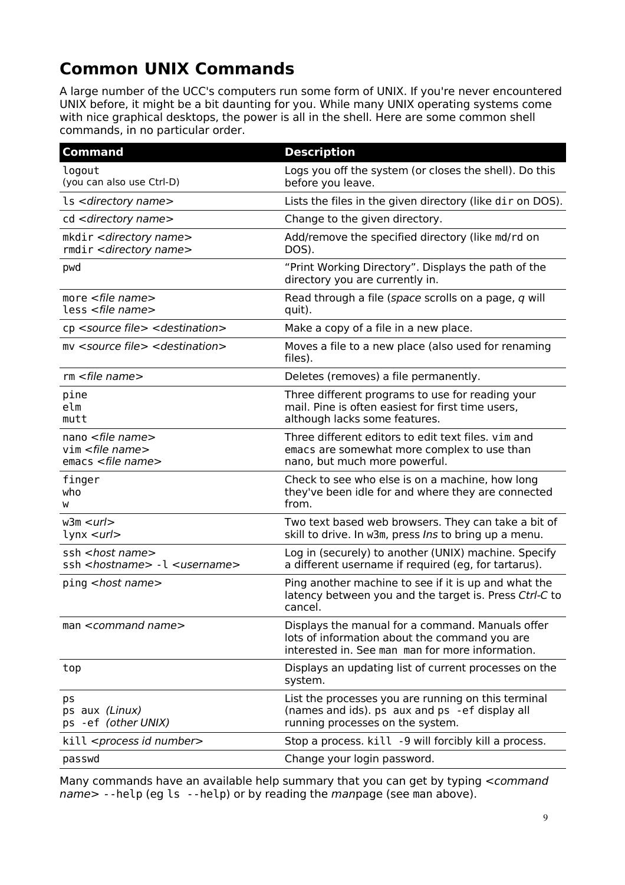# **Common UNIX Commands**

A large number of the UCC's computers run some form of UNIX. If you're never encountered UNIX before, it might be a bit daunting for you. While many UNIX operating systems come with nice graphical desktops, the power is all in the shell. Here are some common shell commands, in no particular order.

| <b>Command</b>                                                                                                                                     | <b>Description</b>                                                                                                                                    |
|----------------------------------------------------------------------------------------------------------------------------------------------------|-------------------------------------------------------------------------------------------------------------------------------------------------------|
| logout<br>(you can also use Ctrl-D)                                                                                                                | Logs you off the system (or closes the shell). Do this<br>before you leave.                                                                           |
| ls <directory name=""></directory>                                                                                                                 | Lists the files in the given directory (like dir on DOS).                                                                                             |
| cd <directory name=""></directory>                                                                                                                 | Change to the given directory.                                                                                                                        |
| mkdir < directory name><br>rmdir < directory name>                                                                                                 | Add/remove the specified directory (like md/rd on<br>DOS).                                                                                            |
| pwd                                                                                                                                                | "Print Working Directory". Displays the path of the<br>directory you are currently in.                                                                |
| more $<$ file name $>$<br>less <file name=""></file>                                                                                               | Read through a file (space scrolls on a page, q will<br>quit).                                                                                        |
| cp <source file=""/> <destination></destination>                                                                                                   | Make a copy of a file in a new place.                                                                                                                 |
| my <source file=""/> <destination></destination>                                                                                                   | Moves a file to a new place (also used for renaming<br>files).                                                                                        |
| $rm$ <file name=""></file>                                                                                                                         | Deletes (removes) a file permanently.                                                                                                                 |
| pine<br>elm<br>mutt                                                                                                                                | Three different programs to use for reading your<br>mail. Pine is often easiest for first time users,<br>although lacks some features.                |
| nano <file name=""><br/><math>vim</math> <file name=""><br/><math>emacs</math> <math>\leq</math> <math>file</math> <math>name</math></file></file> | Three different editors to edit text files. vim and<br>emacs are somewhat more complex to use than<br>nano, but much more powerful.                   |
| finger<br>who<br>w                                                                                                                                 | Check to see who else is on a machine, how long<br>they've been idle for and where they are connected<br>from.                                        |
| w3m < <i>url</i><br>$lynx curl$                                                                                                                    | Two text based web browsers. They can take a bit of<br>skill to drive. In w3m, press Ins to bring up a menu.                                          |
| ssh <host name=""><br/>ssh <hostname> -1 <username></username></hostname></host>                                                                   | Log in (securely) to another (UNIX) machine. Specify<br>a different username if required (eg, for tartarus).                                          |
| ping <host name=""></host>                                                                                                                         | Ping another machine to see if it is up and what the<br>latency between you and the target is. Press Ctrl-C to<br>cancel.                             |
| man <command name=""/>                                                                                                                             | Displays the manual for a command. Manuals offer<br>lots of information about the command you are<br>interested in. See man man for more information. |
| top                                                                                                                                                | Displays an updating list of current processes on the<br>system.                                                                                      |
| ps<br>ps aux (Linux)<br>ps -ef (other UNIX)                                                                                                        | List the processes you are running on this terminal<br>(names and ids). ps aux and ps - ef display all<br>running processes on the system.            |
| kill <process id="" number=""></process>                                                                                                           | Stop a process. kill -9 will forcibly kill a process.                                                                                                 |
| passwd                                                                                                                                             | Change your login password.                                                                                                                           |

Many commands have an available help summary that you can get by typing <command name> --help (eg ls --help) or by reading the manpage (see man above).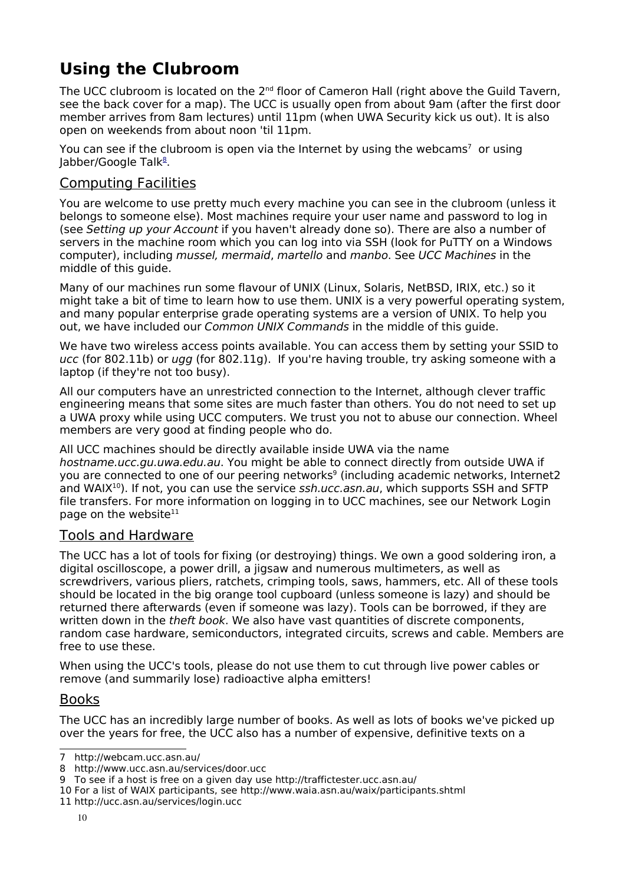# **Using the Clubroom**

The UCC clubroom is located on the 2<sup>nd</sup> floor of Cameron Hall (right above the Guild Tavern, see the back cover for a map). The UCC is usually open from about 9am (after the first door member arrives from 8am lectures) until 11pm (when UWA Security kick us out). It is also open on weekends from about noon 'til 11pm.

You can see if the clubroom is open via the Internet by using the webcams<sup>[7](#page-9-0)</sup> or using Jabber/Google Talk<sup>[8](file:///media/Local Settings/Temp/door@ucc.asn.au)</sup>.

### Computing Facilities

You are welcome to use pretty much every machine you can see in the clubroom (unless it belongs to someone else). Most machines require your user name and password to log in (see Setting up your Account if you haven't already done so). There are also a number of servers in the machine room which you can log into via SSH (look for PuTTY on a Windows computer), including mussel, mermaid, martello and manbo. See UCC Machines in the middle of this guide.

Many of our machines run some flavour of UNIX (Linux, Solaris, NetBSD, IRIX, etc.) so it might take a bit of time to learn how to use them. UNIX is a very powerful operating system, and many popular enterprise grade operating systems are a version of UNIX. To help you out, we have included our Common UNIX Commands in the middle of this quide.

We have two wireless access points available. You can access them by setting your SSID to ucc (for 802.11b) or ugg (for 802.11g). If you're having trouble, try asking someone with a laptop (if they're not too busy).

All our computers have an unrestricted connection to the Internet, although clever traffic engineering means that some sites are much faster than others. You do not need to set up a UWA proxy while using UCC computers. We trust you not to abuse our connection. Wheel members are very good at finding people who do.

All UCC machines should be directly available inside UWA via the name hostname.ucc.gu.uwa.edu.au. You might be able to connect directly from outside UWA if you are connected to one of our peering networks<sup>[9](#page-9-2)</sup> (including academic networks, Internet2 and WAIX<sup>[10](#page-9-3)</sup>). If not, you can use the service ssh.ucc.asn.au, which supports SSH and SFTP file transfers. For more information on logging in to UCC machines, see our Network Login page on the website<sup>[11](#page-9-4)</sup>

#### Tools and Hardware

The UCC has a lot of tools for fixing (or destroying) things. We own a good soldering iron, a digital oscilloscope, a power drill, a jigsaw and numerous multimeters, as well as screwdrivers, various pliers, ratchets, crimping tools, saws, hammers, etc. All of these tools should be located in the big orange tool cupboard (unless someone is lazy) and should be returned there afterwards (even if someone was lazy). Tools can be borrowed, if they are written down in the *theft book*. We also have vast quantities of discrete components, random case hardware, semiconductors, integrated circuits, screws and cable. Members are free to use these.

When using the UCC's tools, please do not use them to cut through live power cables or remove (and summarily lose) radioactive alpha emitters!

#### Books

The UCC has an incredibly large number of books. As well as lots of books we've picked up over the years for free, the UCC also has a number of expensive, definitive texts on a

<span id="page-9-0"></span><sup>7</sup> http://webcam.ucc.asn.au/

<span id="page-9-1"></span><sup>8</sup> http://www.ucc.asn.au/services/door.ucc

<span id="page-9-2"></span><sup>9</sup> To see if a host is free on a given day use http://traffictester.ucc.asn.au/

<span id="page-9-3"></span><sup>10</sup> For a list of WAIX participants, see http://www.waia.asn.au/waix/participants.shtml

<span id="page-9-4"></span><sup>11</sup> http://ucc.asn.au/services/login.ucc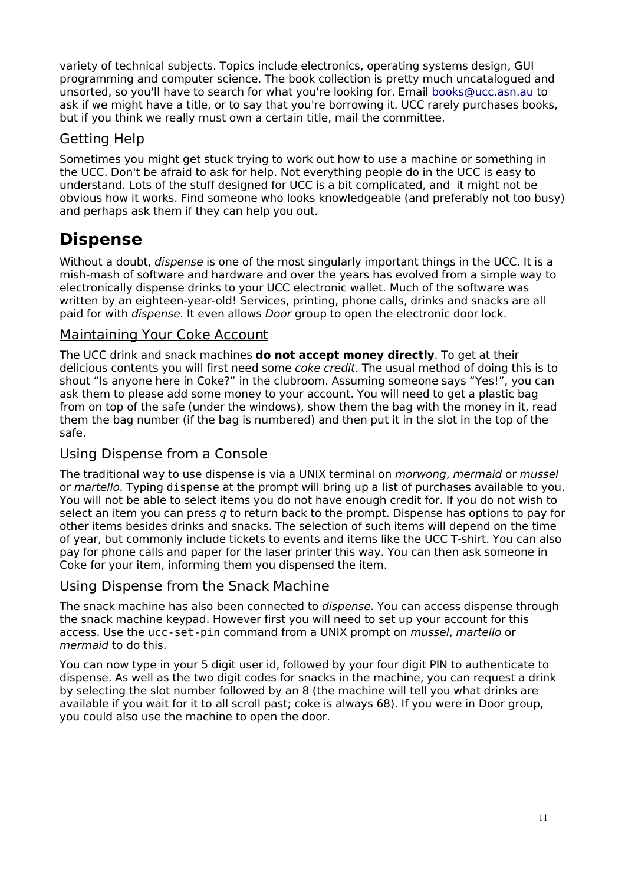variety of technical subjects. Topics include electronics, operating systems design, GUI programming and computer science. The book collection is pretty much uncatalogued and unsorted, so you'll have to search for what you're looking for. Email [books@ucc.asn.au](mailto:books@ucc.asn.au) to ask if we might have a title, or to say that you're borrowing it. UCC rarely purchases books, but if you think we really must own a certain title, mail the committee.

### Getting Help

Sometimes you might get stuck trying to work out how to use a machine or something in the UCC. Don't be afraid to ask for help. Not everything people do in the UCC is easy to understand. Lots of the stuff designed for UCC is a bit complicated, and it might not be obvious how it works. Find someone who looks knowledgeable (and preferably not too busy) and perhaps ask them if they can help you out.

## **Dispense**

Without a doubt, *dispense* is one of the most singularly important things in the UCC. It is a mish-mash of software and hardware and over the years has evolved from a simple way to electronically dispense drinks to your UCC electronic wallet. Much of the software was written by an eighteen-year-old! Services, printing, phone calls, drinks and snacks are all paid for with dispense. It even allows Door group to open the electronic door lock.

#### Maintaining Your Coke Account

The UCC drink and snack machines **do not accept money directly**. To get at their delicious contents you will first need some *coke credit*. The usual method of doing this is to shout "Is anyone here in Coke?" in the clubroom. Assuming someone says "Yes!", you can ask them to please add some money to your account. You will need to get a plastic bag from on top of the safe (under the windows), show them the bag with the money in it, read them the bag number (if the bag is numbered) and then put it in the slot in the top of the safe.

### Using Dispense from a Console

The traditional way to use dispense is via a UNIX terminal on *morwong, mermaid* or *mussel* or martello. Typing dispense at the prompt will bring up a list of purchases available to you. You will not be able to select items you do not have enough credit for. If you do not wish to select an item you can press q to return back to the prompt. Dispense has options to pay for other items besides drinks and snacks. The selection of such items will depend on the time of year, but commonly include tickets to events and items like the UCC T-shirt. You can also pay for phone calls and paper for the laser printer this way. You can then ask someone in Coke for your item, informing them you dispensed the item.

### Using Dispense from the Snack Machine

The snack machine has also been connected to dispense. You can access dispense through the snack machine keypad. However first you will need to set up your account for this access. Use the ucc-set-pin command from a UNIX prompt on mussel, martello or mermaid to do this.

You can now type in your 5 digit user id, followed by your four digit PIN to authenticate to dispense. As well as the two digit codes for snacks in the machine, you can request a drink by selecting the slot number followed by an 8 (the machine will tell you what drinks are available if you wait for it to all scroll past; coke is always 68). If you were in Door group, you could also use the machine to open the door.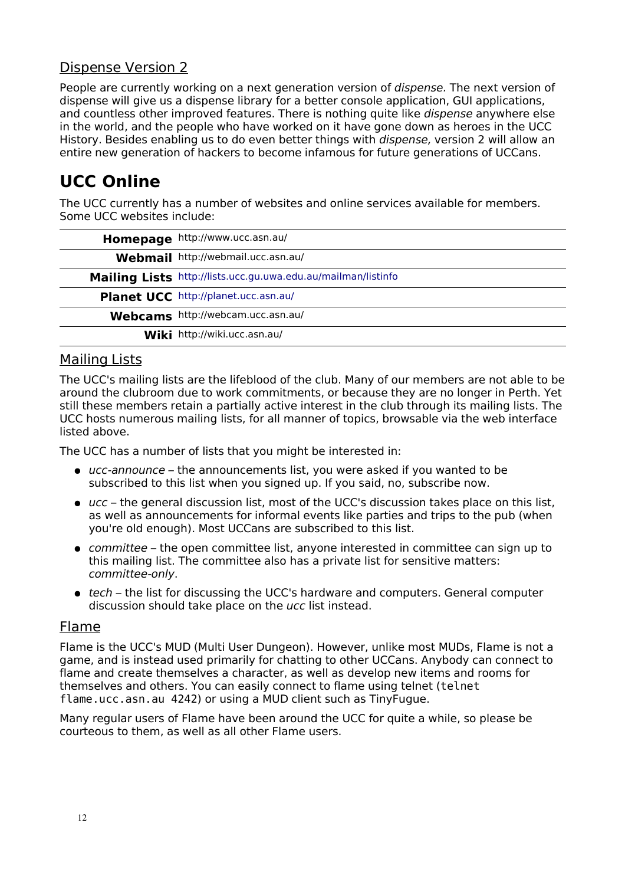### Dispense Version 2

People are currently working on a next generation version of *dispense*. The next version of dispense will give us a dispense library for a better console application, GUI applications, and countless other improved features. There is nothing quite like dispense anywhere else in the world, and the people who have worked on it have gone down as heroes in the UCC History. Besides enabling us to do even better things with *dispense*, version 2 will allow an entire new generation of hackers to become infamous for future generations of UCCans.

# **UCC Online**

The UCC currently has a number of websites and online services available for members. Some UCC websites include:

| Homepage http://www.ucc.asn.au/                               |
|---------------------------------------------------------------|
| Webmail http://webmail.ucc.asn.au/                            |
| Mailing Lists http://lists.ucc.gu.uwa.edu.au/mailman/listinfo |
| Planet UCC http://planet.ucc.asn.au/                          |
| Webcams http://webcam.ucc.asn.au/                             |
| Wiki http://wiki.ucc.asn.au/                                  |

### Mailing Lists

The UCC's mailing lists are the lifeblood of the club. Many of our members are not able to be around the clubroom due to work commitments, or because they are no longer in Perth. Yet still these members retain a partially active interest in the club through its mailing lists. The UCC hosts numerous mailing lists, for all manner of topics, browsable via the web interface listed above.

The UCC has a number of lists that you might be interested in:

- ucc-announce the announcements list, you were asked if you wanted to be subscribed to this list when you signed up. If you said, no, subscribe now.
- ucc the general discussion list, most of the UCC's discussion takes place on this list, as well as announcements for informal events like parties and trips to the pub (when you're old enough). Most UCCans are subscribed to this list.
- committee the open committee list, anyone interested in committee can sign up to this mailing list. The committee also has a private list for sensitive matters: committee-only.
- $\bullet$  tech the list for discussing the UCC's hardware and computers. General computer discussion should take place on the ucc list instead.

#### Flame

Flame is the UCC's MUD (Multi User Dungeon). However, unlike most MUDs, Flame is not a game, and is instead used primarily for chatting to other UCCans. Anybody can connect to flame and create themselves a character, as well as develop new items and rooms for themselves and others. You can easily connect to flame using telnet (telnet flame.ucc.asn.au 4242) or using a MUD client such as TinyFugue.

Many regular users of Flame have been around the UCC for quite a while, so please be courteous to them, as well as all other Flame users.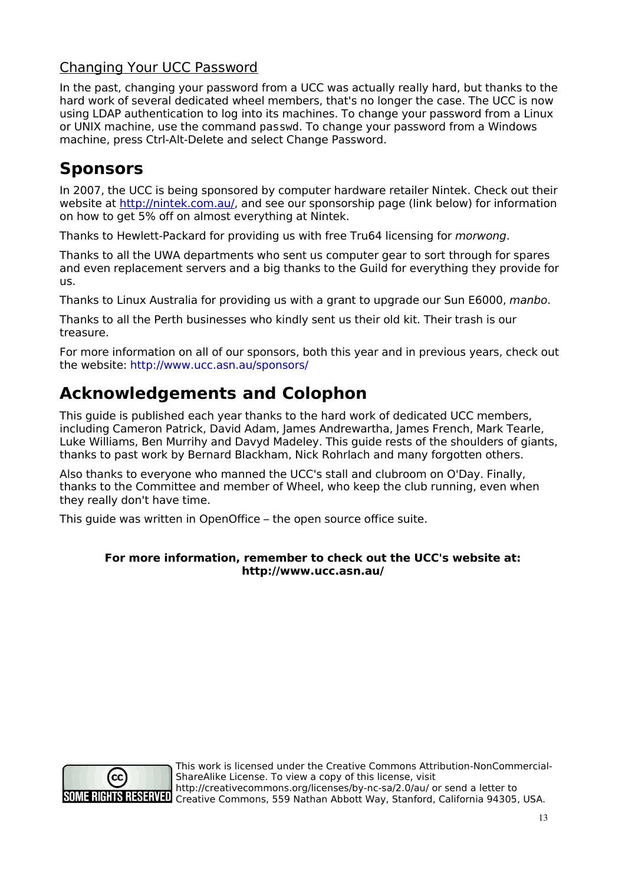### Changing Your UCC Password

In the past, changing your password from a UCC was actually really hard, but thanks to the hard work of several dedicated wheel members, that's no longer the case. The UCC is now using LDAP authentication to log into its machines. To change your password from a Linux or UNIX machine, use the command passwd. To change your password from a Windows machine, press Ctrl-Alt-Delete and select Change Password.

## **Sponsors**

In 2007, the UCC is being sponsored by computer hardware retailer Nintek. Check out their website at [http://nintek.com.au/,](http://nintek.com.au/) and see our sponsorship page (link below) for information on how to get 5% off on almost everything at Nintek.

Thanks to Hewlett-Packard for providing us with free Tru64 licensing for morwong.

Thanks to all the UWA departments who sent us computer gear to sort through for spares and even replacement servers and a big thanks to the Guild for everything they provide for us.

Thanks to Linux Australia for providing us with a grant to upgrade our Sun E6000, manbo.

Thanks to all the Perth businesses who kindly sent us their old kit. Their trash is our treasure.

For more information on all of our sponsors, both this year and in previous years, check out the website: <http://www.ucc.asn.au/sponsors/>

# **Acknowledgements and Colophon**

This guide is published each year thanks to the hard work of dedicated UCC members, including Cameron Patrick, David Adam, James Andrewartha, James French, Mark Tearle, Luke Williams, Ben Murrihy and Davyd Madeley. This guide rests of the shoulders of giants, thanks to past work by Bernard Blackham, Nick Rohrlach and many forgotten others.

Also thanks to everyone who manned the UCC's stall and clubroom on O'Day. Finally, thanks to the Committee and member of Wheel, who keep the club running, even when they really don't have time.

This guide was written in OpenOffice – the open source office suite.

#### **For more information, remember to check out the UCC's website at: http://www.ucc.asn.au/**



This work is licensed under the Creative Commons Attribution-NonCommercial-ShareAlike License. To view a copy of this license, visit http://creativecommons.org/licenses/by-nc-sa/2.0/au/ or send a letter to SOME RIGHTS RESERVED Trep.//creative.commons, 559 Nathan Abbott Way, Stanford, California 94305, USA.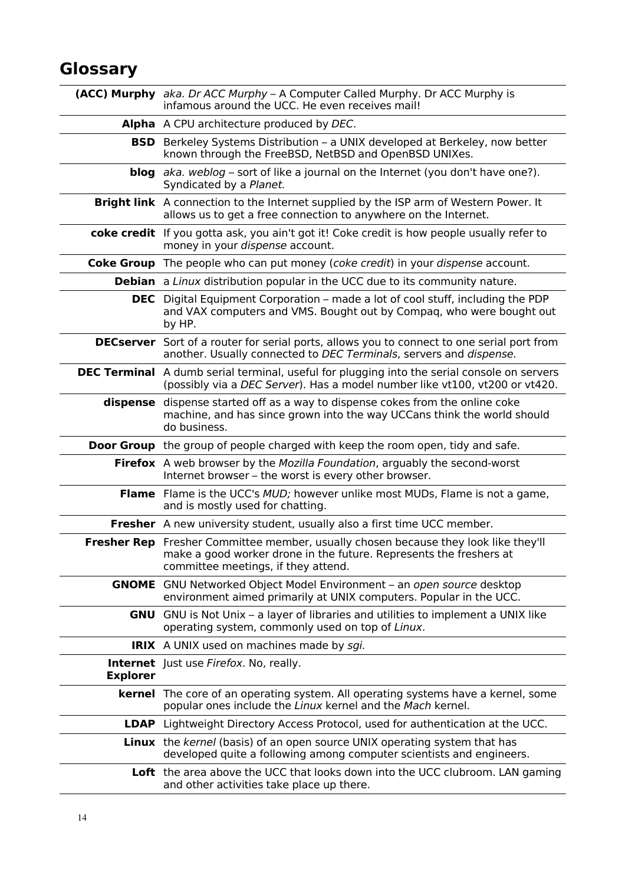# **Glossary**

|                 | (ACC) Murphy aka. Dr ACC Murphy - A Computer Called Murphy. Dr ACC Murphy is<br>infamous around the UCC. He even receives mail!                                                                  |
|-----------------|--------------------------------------------------------------------------------------------------------------------------------------------------------------------------------------------------|
|                 | Alpha A CPU architecture produced by DEC.                                                                                                                                                        |
|                 | <b>BSD</b> Berkeley Systems Distribution - a UNIX developed at Berkeley, now better<br>known through the FreeBSD, NetBSD and OpenBSD UNIXes.                                                     |
|                 | <b>blog</b> $aka$ . weblog – sort of like a journal on the Internet (you don't have one?).<br>Syndicated by a Planet.                                                                            |
|                 | Bright link A connection to the Internet supplied by the ISP arm of Western Power. It<br>allows us to get a free connection to anywhere on the Internet.                                         |
|                 | coke credit If you gotta ask, you ain't got it! Coke credit is how people usually refer to<br>money in your dispense account.                                                                    |
|                 | <b>Coke Group</b> The people who can put money (coke credit) in your dispense account.                                                                                                           |
|                 | <b>Debian</b> a <i>Linux</i> distribution popular in the UCC due to its community nature.                                                                                                        |
|                 | <b>DEC</b> Digital Equipment Corporation – made a lot of cool stuff, including the PDP<br>and VAX computers and VMS. Bought out by Compag, who were bought out<br>by HP.                         |
|                 | <b>DECserver</b> Sort of a router for serial ports, allows you to connect to one serial port from<br>another. Usually connected to DEC Terminals, servers and dispense.                          |
|                 | <b>DEC Terminal</b> A dumb serial terminal, useful for plugging into the serial console on servers<br>(possibly via a DEC Server). Has a model number like vt100, vt200 or vt420.                |
| dispense        | dispense started off as a way to dispense cokes from the online coke<br>machine, and has since grown into the way UCCans think the world should<br>do business.                                  |
|                 | <b>Door Group</b> the group of people charged with keep the room open, tidy and safe.                                                                                                            |
|                 | Firefox A web browser by the Mozilla Foundation, arguably the second-worst<br>Internet browser - the worst is every other browser.                                                               |
|                 | <b>Flame</b> Flame is the UCC's MUD; however unlike most MUDs, Flame is not a game,<br>and is mostly used for chatting.                                                                          |
|                 | <b>Fresher</b> A new university student, usually also a first time UCC member.                                                                                                                   |
|                 | Fresher Rep Fresher Committee member, usually chosen because they look like they'll<br>make a good worker drone in the future. Represents the freshers at<br>committee meetings, if they attend. |
|                 | <b>GNOME</b> GNU Networked Object Model Environment – an open source desktop<br>environment aimed primarily at UNIX computers. Popular in the UCC.                                               |
| GNU             | GNU is Not Unix - a layer of libraries and utilities to implement a UNIX like<br>operating system, commonly used on top of Linux.                                                                |
|                 | <b>IRIX</b> A UNIX used on machines made by sgi.                                                                                                                                                 |
| <b>Explorer</b> | <b>Internet</b> Just use Firefox. No, really.                                                                                                                                                    |
|                 | <b>kernel</b> The core of an operating system. All operating systems have a kernel, some<br>popular ones include the Linux kernel and the Mach kernel.                                           |
|                 | <b>LDAP</b> Lightweight Directory Access Protocol, used for authentication at the UCC.                                                                                                           |
|                 | <b>Linux</b> the kernel (basis) of an open source UNIX operating system that has<br>developed quite a following among computer scientists and engineers.                                         |
|                 | Loft the area above the UCC that looks down into the UCC clubroom. LAN gaming<br>and other activities take place up there.                                                                       |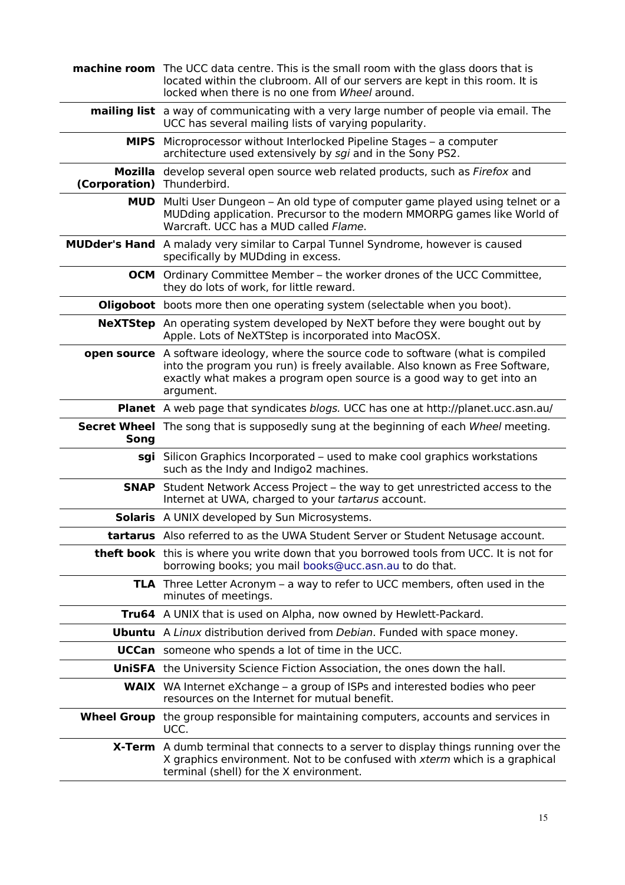|                            | <b>machine room</b> The UCC data centre. This is the small room with the glass doors that is<br>located within the clubroom. All of our servers are kept in this room. It is<br>locked when there is no one from Wheel around.                                   |
|----------------------------|------------------------------------------------------------------------------------------------------------------------------------------------------------------------------------------------------------------------------------------------------------------|
|                            | <b>mailing list</b> a way of communicating with a very large number of people via email. The<br>UCC has several mailing lists of varying popularity.                                                                                                             |
|                            | <b>MIPS</b> Microprocessor without Interlocked Pipeline Stages – a computer<br>architecture used extensively by sgi and in the Sony PS2.                                                                                                                         |
| (Corporation) Thunderbird. | Mozilla develop several open source web related products, such as Firefox and                                                                                                                                                                                    |
|                            | <b>MUD</b> Multi User Dungeon – An old type of computer game played using telnet or a<br>MUDding application. Precursor to the modern MMORPG games like World of<br>Warcraft. UCC has a MUD called Flame.                                                        |
|                            | <b>MUDder's Hand</b> A malady very similar to Carpal Tunnel Syndrome, however is caused<br>specifically by MUDding in excess.                                                                                                                                    |
|                            | <b>OCM</b> Ordinary Committee Member – the worker drones of the UCC Committee,<br>they do lots of work, for little reward.                                                                                                                                       |
|                            | <b>Oligoboot</b> boots more then one operating system (selectable when you boot).                                                                                                                                                                                |
|                            | <b>NeXTStep</b> An operating system developed by NeXT before they were bought out by<br>Apple. Lots of NeXTStep is incorporated into MacOSX.                                                                                                                     |
|                            | <b>open source</b> A software ideology, where the source code to software (what is compiled<br>into the program you run) is freely available. Also known as Free Software,<br>exactly what makes a program open source is a good way to get into an<br>argument. |
|                            | Planet A web page that syndicates blogs. UCC has one at http://planet.ucc.asn.au/                                                                                                                                                                                |
| Song                       | <b>Secret Wheel</b> The song that is supposedly sung at the beginning of each Wheel meeting.                                                                                                                                                                     |
|                            | sgi Silicon Graphics Incorporated – used to make cool graphics workstations<br>such as the Indy and Indigo2 machines.                                                                                                                                            |
|                            | <b>SNAP</b> Student Network Access Project – the way to get unrestricted access to the<br>Internet at UWA, charged to your tartarus account.                                                                                                                     |
|                            | <b>Solaris</b> A UNIX developed by Sun Microsystems.                                                                                                                                                                                                             |
|                            | tartarus Also referred to as the UWA Student Server or Student Netusage account.                                                                                                                                                                                 |
|                            | <b>theft book</b> this is where you write down that you borrowed tools from UCC. It is not for<br>borrowing books; you mail books@ucc.asn.au to do that.                                                                                                         |
|                            | <b>TLA</b> Three Letter Acronym – a way to refer to UCC members, often used in the<br>minutes of meetings.                                                                                                                                                       |
|                            | Tru64 A UNIX that is used on Alpha, now owned by Hewlett-Packard.                                                                                                                                                                                                |
|                            | <b>Ubuntu</b> A Linux distribution derived from Debian. Funded with space money.                                                                                                                                                                                 |
|                            | <b>UCCan</b> someone who spends a lot of time in the UCC.                                                                                                                                                                                                        |
|                            | <b>UniSFA</b> the University Science Fiction Association, the ones down the hall.                                                                                                                                                                                |
|                            | <b>WAIX</b> WA Internet eXchange – a group of ISPs and interested bodies who peer<br>resources on the Internet for mutual benefit.                                                                                                                               |
|                            | <b>Wheel Group</b> the group responsible for maintaining computers, accounts and services in<br>UCC.                                                                                                                                                             |
|                            | <b>X-Term</b> A dumb terminal that connects to a server to display things running over the<br>X graphics environment. Not to be confused with xterm which is a graphical<br>terminal (shell) for the X environment.                                              |